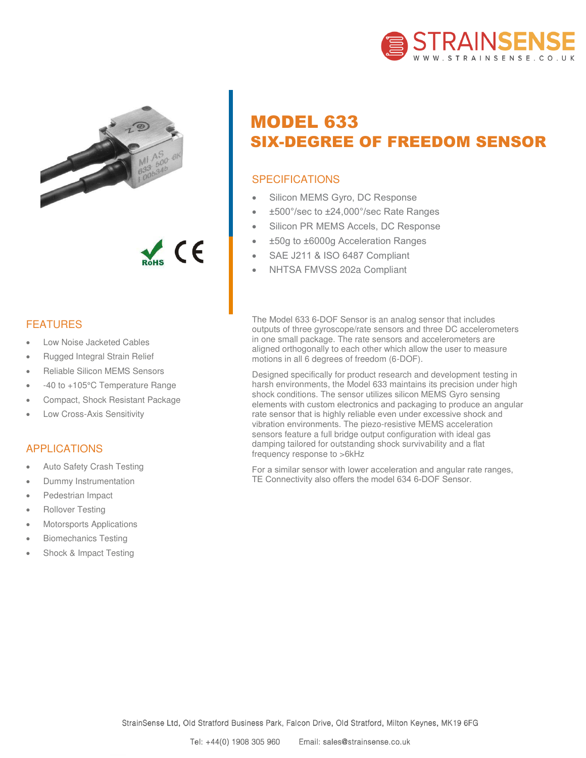



 $\epsilon$ 

## FEATURES

- Low Noise Jacketed Cables
- Rugged Integral Strain Relief
- Reliable Silicon MEMS Sensors
- -40 to +105°C Temperature Range
- Compact, Shock Resistant Package
- Low Cross-Axis Sensitivity

## APPLICATIONS

- Auto Safety Crash Testing
- Dummy Instrumentation
- Pedestrian Impact
- Rollover Testing
- Motorsports Applications
- Biomechanics Testing
- Shock & Impact Testing

# MODEL 633 SIX-DEGREE OF FREEDOM SENSOR

# **SPECIFICATIONS**

- Silicon MEMS Gyro, DC Response
- ±500°/sec to ±24,000°/sec Rate Ranges
- Silicon PR MEMS Accels, DC Response
- ±50g to ±6000g Acceleration Ranges
- SAE J211 & ISO 6487 Compliant
- NHTSA FMVSS 202a Compliant

The Model 633 6-DOF Sensor is an analog sensor that includes outputs of three gyroscope/rate sensors and three DC accelerometers in one small package. The rate sensors and accelerometers are aligned orthogonally to each other which allow the user to measure motions in all 6 degrees of freedom (6-DOF).

Designed specifically for product research and development testing in harsh environments, the Model 633 maintains its precision under high shock conditions. The sensor utilizes silicon MEMS Gyro sensing elements with custom electronics and packaging to produce an angular rate sensor that is highly reliable even under excessive shock and vibration environments. The piezo-resistive MEMS acceleration sensors feature a full bridge output configuration with ideal gas damping tailored for outstanding shock survivability and a flat frequency response to >6kHz

For a similar sensor with lower acceleration and angular rate ranges, TE Connectivity also offers the model 634 6-DOF Sensor.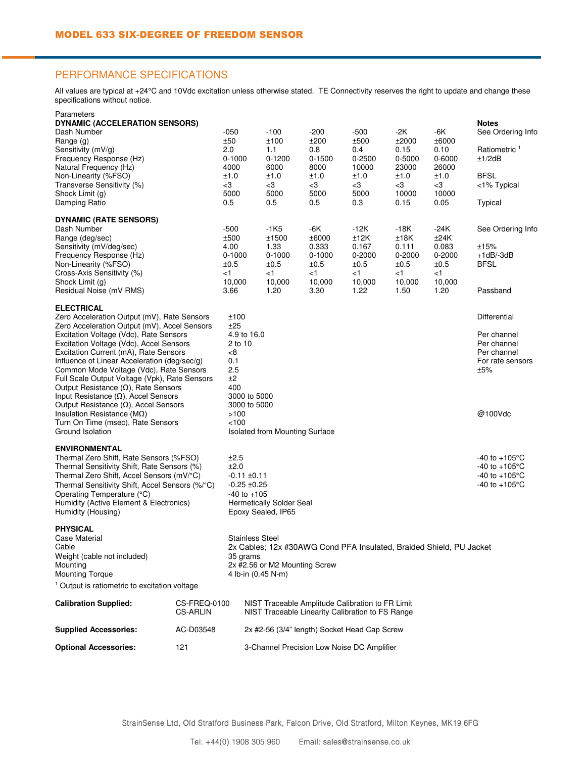### PERFORMANCE SPECIFICATIONS

All values are typical at +24°C and 10Vdc excitation unless otherwise stated. TE Connectivity reserves the right to update and change these specifications without notice.

| Sensitivity (mV/g)                                                                       |                                                       | 2.0                                                                             | 1.1                                                                                                  | 0.8                 | 0.4                 | 0.15            | 0.10                | Ratiometric <sup>1</sup> |  |  |
|------------------------------------------------------------------------------------------|-------------------------------------------------------|---------------------------------------------------------------------------------|------------------------------------------------------------------------------------------------------|---------------------|---------------------|-----------------|---------------------|--------------------------|--|--|
| Frequency Response (Hz)                                                                  |                                                       | $0 - 1000$<br>4000                                                              | $0 - 1200$                                                                                           | $0 - 1500$<br>8000  | $0 - 2500$<br>10000 | 0-5000<br>23000 | 0-6000<br>26000     | ±1/2dB                   |  |  |
| Natural Frequency (Hz)<br>Non-Linearity (%FSO)                                           |                                                       | ±1.0                                                                            | 6000<br>±1.0                                                                                         | ±1.0                | ±1.0                | ±1.0            | ±1.0                | <b>BFSL</b>              |  |  |
| Transverse Sensitivity (%)                                                               |                                                       | $<$ 3                                                                           | -3                                                                                                   | $<$ 3               | $<$ 3               | -3              | -3                  | <1% Typical              |  |  |
| Shock Limit (g)                                                                          |                                                       | 5000                                                                            | 5000                                                                                                 | 5000                | 5000                | 10000           | 10000               |                          |  |  |
| Damping Ratio                                                                            |                                                       | 0.5                                                                             | 0.5                                                                                                  | 0.5                 | 0.3                 | 0.15            | 0.05                | Typical                  |  |  |
| <b>DYNAMIC (RATE SENSORS)</b>                                                            |                                                       |                                                                                 |                                                                                                      |                     |                     |                 |                     |                          |  |  |
| Dash Number                                                                              |                                                       | $-500$                                                                          | $-1K5$                                                                                               | -6K                 | $-12K$              | $-18K$          | -24K                | See Ordering Info        |  |  |
| Range (deg/sec)                                                                          |                                                       | ±500                                                                            | ±1500                                                                                                | ±6000               | ±12K                | ±18K            | ±24K                |                          |  |  |
| Sensitivity (mV/deg/sec)<br>Frequency Response (Hz)                                      |                                                       | 4.00<br>$0 - 1000$                                                              | 1.33<br>$0 - 1000$                                                                                   | 0.333<br>$0 - 1000$ | 0.167<br>0-2000     | 0.111<br>0-2000 | 0.083<br>$0 - 2000$ | ±15%<br>$+1dB$ -3dB      |  |  |
| Non-Linearity (%FSO)                                                                     |                                                       | ±0.5                                                                            | ±0.5                                                                                                 | ±0.5                | ±0.5                | ±0.5            | ±0.5                | <b>BFSL</b>              |  |  |
| Cross-Axis Sensitivity (%)                                                               |                                                       | ا>                                                                              | $<$ 1                                                                                                | ا>                  | ا>                  | ا>              | ا>                  |                          |  |  |
| Shock Limit (g)                                                                          |                                                       | 10,000                                                                          | 10,000                                                                                               | 10,000              | 10,000              | 10,000          | 10,000              |                          |  |  |
| Residual Noise (mV RMS)                                                                  |                                                       | 3.66                                                                            | 1.20                                                                                                 | 3.30                | 1.22                | 1.50            | 1.20                | Passband                 |  |  |
| <b>ELECTRICAL</b>                                                                        |                                                       |                                                                                 |                                                                                                      |                     |                     |                 |                     |                          |  |  |
| Zero Acceleration Output (mV), Rate Sensors                                              |                                                       | ±100                                                                            | Differential                                                                                         |                     |                     |                 |                     |                          |  |  |
| Zero Acceleration Output (mV), Accel Sensors<br>Excitation Voltage (Vdc), Rate Sensors   |                                                       | ±25<br>4.9 to 16.0                                                              | Per channel                                                                                          |                     |                     |                 |                     |                          |  |  |
| Excitation Voltage (Vdc), Accel Sensors                                                  | $2$ to 10                                             |                                                                                 |                                                                                                      |                     |                     |                 | Per channel         |                          |  |  |
| Excitation Current (mA), Rate Sensors                                                    |                                                       | -8                                                                              | Per channel                                                                                          |                     |                     |                 |                     |                          |  |  |
| Influence of Linear Acceleration (deg/sec/g)                                             |                                                       | 0.1                                                                             |                                                                                                      |                     |                     |                 |                     | For rate sensors         |  |  |
| Common Mode Voltage (Vdc), Rate Sensors<br>Full Scale Output Voltage (Vpk), Rate Sensors |                                                       | 2.5<br>±2                                                                       |                                                                                                      |                     |                     |                 |                     | ±5%                      |  |  |
| Output Resistance $(\Omega)$ , Rate Sensors                                              |                                                       | 400                                                                             |                                                                                                      |                     |                     |                 |                     |                          |  |  |
| Input Resistance $(\Omega)$ , Accel Sensors                                              |                                                       | 3000 to 5000                                                                    |                                                                                                      |                     |                     |                 |                     |                          |  |  |
| Output Resistance ( $\Omega$ ), Accel Sensors                                            |                                                       | 3000 to 5000                                                                    |                                                                                                      |                     |                     |                 |                     |                          |  |  |
| Insulation Resistance ( $M\Omega$ )                                                      |                                                       | >100                                                                            |                                                                                                      |                     |                     |                 |                     | @100Vdc                  |  |  |
| Turn On Time (msec), Rate Sensors<br>Ground Isolation                                    | 100<br><b>Isolated from Mounting Surface</b>          |                                                                                 |                                                                                                      |                     |                     |                 |                     |                          |  |  |
|                                                                                          |                                                       |                                                                                 |                                                                                                      |                     |                     |                 |                     |                          |  |  |
| <b>ENVIRONMENTAL</b><br>Thermal Zero Shift, Rate Sensors (%FSO)                          |                                                       | ±2.5                                                                            |                                                                                                      |                     |                     |                 |                     | -40 to +105°C            |  |  |
| Thermal Sensitivity Shift, Rate Sensors (%)                                              |                                                       | ±2.0                                                                            | -40 to +105°C                                                                                        |                     |                     |                 |                     |                          |  |  |
| Thermal Zero Shift, Accel Sensors (mV/°C)                                                |                                                       | -0.11 ±0.11                                                                     | $-40$ to $+105^{\circ}$ C                                                                            |                     |                     |                 |                     |                          |  |  |
|                                                                                          | Thermal Sensitivity Shift, Accel Sensors (%/°C)       |                                                                                 | -0.25 ±0.25                                                                                          |                     |                     |                 |                     |                          |  |  |
| Operating Temperature (°C)                                                               | $-40$ to $+105$                                       |                                                                                 |                                                                                                      |                     |                     |                 |                     |                          |  |  |
| Humidity (Active Element & Electronics)<br>Humidity (Housing)                            | <b>Hermetically Solder Seal</b><br>Epoxy Sealed, IP65 |                                                                                 |                                                                                                      |                     |                     |                 |                     |                          |  |  |
|                                                                                          |                                                       |                                                                                 |                                                                                                      |                     |                     |                 |                     |                          |  |  |
| <b>PHYSICAL</b>                                                                          |                                                       |                                                                                 |                                                                                                      |                     |                     |                 |                     |                          |  |  |
| Case Material<br>Cable                                                                   |                                                       | <b>Stainless Steel</b>                                                          |                                                                                                      |                     |                     |                 |                     |                          |  |  |
| Weight (cable not included)                                                              |                                                       | 2x Cables; 12x #30AWG Cond PFA Insulated, Braided Shield, PU Jacket<br>35 grams |                                                                                                      |                     |                     |                 |                     |                          |  |  |
| Mounting                                                                                 | 2x #2.56 or M2 Mounting Screw                         |                                                                                 |                                                                                                      |                     |                     |                 |                     |                          |  |  |
| <b>Mounting Torque</b>                                                                   |                                                       |                                                                                 | 4 lb-in (0.45 N-m)                                                                                   |                     |                     |                 |                     |                          |  |  |
| <sup>1</sup> Output is ratiometric to excitation voltage                                 |                                                       |                                                                                 |                                                                                                      |                     |                     |                 |                     |                          |  |  |
| <b>Calibration Supplied:</b>                                                             | CS-FREQ-0100                                          |                                                                                 | NIST Traceable Amplitude Calibration to FR Limit<br>NIST Traceable Linearity Calibration to FS Range |                     |                     |                 |                     |                          |  |  |
|                                                                                          | CS-ARLIN                                              |                                                                                 |                                                                                                      |                     |                     |                 |                     |                          |  |  |
| <b>Supplied Accessories:</b>                                                             | AC-D03548                                             | 2x #2-56 (3/4" length) Socket Head Cap Screw                                    |                                                                                                      |                     |                     |                 |                     |                          |  |  |
|                                                                                          |                                                       |                                                                                 |                                                                                                      |                     |                     |                 |                     |                          |  |  |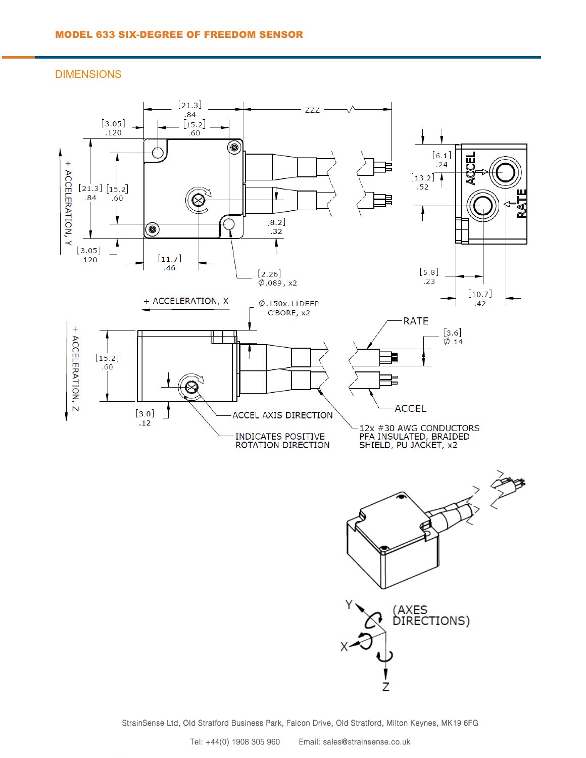DIMENSIONS



StrainSense Ltd, Old Stratford Business Park, Falcon Drive, Old Stratford, Milton Keynes, MK19 6FG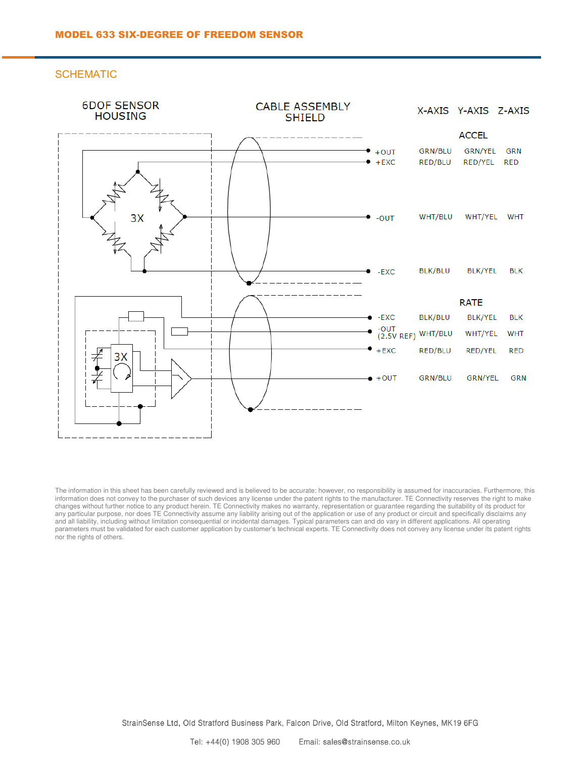**SCHEMATIC** 



The information in this sheet has been carefully reviewed and is believed to be accurate; however, no responsibility is assumed for inaccuracies. Furthermore, this information does not convey to the purchaser of such devices any license under the patent rights to the manufacturer. TE Connectivity reserves the right to make changes without further notice to any product herein. TE Connectivity makes no warranty, representation or guarantee regarding the suitability of its product for any particular purpose, nor does TE Connectivity assume any liability arising out of the application or use of any product or circuit and specifically disclaims any and all liability, including without limitation consequential or incidental damages. Typical parameters can and do vary in different applications. All operating parameters must be validated for each customer application by customer's technical experts. TE Connectivity does not convey any license under its patent rights nor the rights of others.

StrainSense Ltd, Old Stratford Business Park, Falcon Drive, Old Stratford, Milton Keynes, MK19 6FG